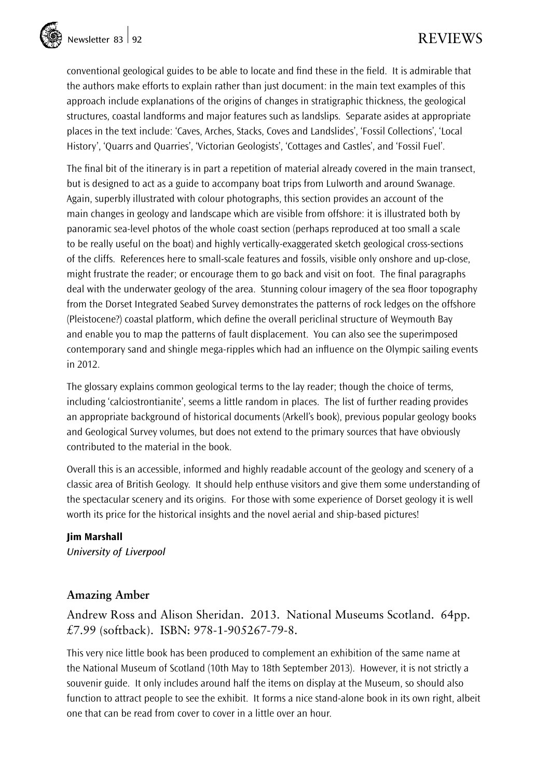

conventional geological guides to be able to locate and find these in the field. It is admirable that the authors make efforts to explain rather than just document: in the main text examples of this approach include explanations of the origins of changes in stratigraphic thickness, the geological structures, coastal landforms and major features such as landslips. Separate asides at appropriate places in the text include: 'Caves, Arches, Stacks, Coves and Landslides', 'Fossil Collections', 'Local History', 'Quarrs and Quarries', 'Victorian Geologists', 'Cottages and Castles', and 'Fossil Fuel'.

The final bit of the itinerary is in part a repetition of material already covered in the main transect, but is designed to act as a guide to accompany boat trips from Lulworth and around Swanage. Again, superbly illustrated with colour photographs, this section provides an account of the main changes in geology and landscape which are visible from offshore: it is illustrated both by panoramic sea-level photos of the whole coast section (perhaps reproduced at too small a scale to be really useful on the boat) and highly vertically-exaggerated sketch geological cross-sections of the cliffs. References here to small-scale features and fossils, visible only onshore and up-close, might frustrate the reader; or encourage them to go back and visit on foot. The final paragraphs deal with the underwater geology of the area. Stunning colour imagery of the sea floor topography from the Dorset Integrated Seabed Survey demonstrates the patterns of rock ledges on the offshore (Pleistocene?) coastal platform, which define the overall periclinal structure of Weymouth Bay and enable you to map the patterns of fault displacement. You can also see the superimposed contemporary sand and shingle mega-ripples which had an influence on the Olympic sailing events in 2012.

The glossary explains common geological terms to the lay reader; though the choice of terms, including 'calciostrontianite', seems a little random in places. The list of further reading provides an appropriate background of historical documents (Arkell's book), previous popular geology books and Geological Survey volumes, but does not extend to the primary sources that have obviously contributed to the material in the book.

Overall this is an accessible, informed and highly readable account of the geology and scenery of a classic area of British Geology. It should help enthuse visitors and give them some understanding of the spectacular scenery and its origins. For those with some experience of Dorset geology it is well worth its price for the historical insights and the novel aerial and ship-based pictures!

#### Jim Marshall

*University of Liverpool*

## **Amazing Amber**

Andrew Ross and Alison Sheridan. 2013. National Museums Scotland. 64pp. £7.99 (softback). ISBN: 978-1-905267-79-8.

This very nice little book has been produced to complement an exhibition of the same name at the National Museum of Scotland (10th May to 18th September 2013). However, it is not strictly a souvenir guide. It only includes around half the items on display at the Museum, so should also function to attract people to see the exhibit. It forms a nice stand-alone book in its own right, albeit one that can be read from cover to cover in a little over an hour.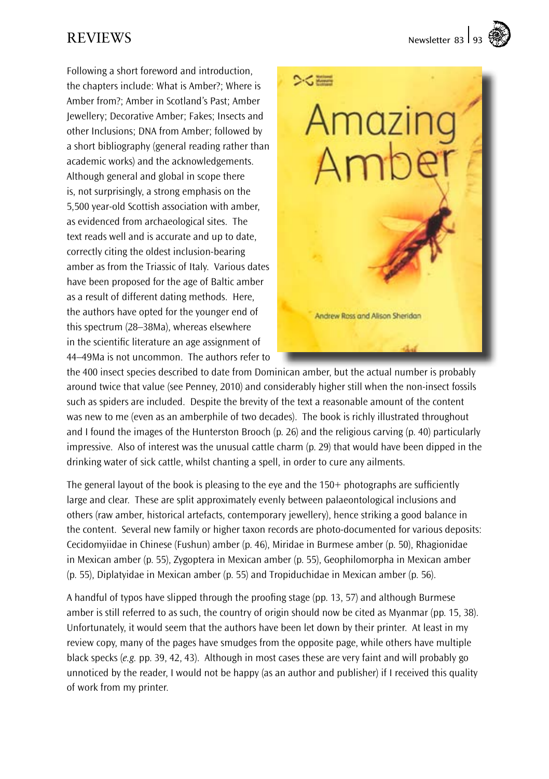REVIEWS Newsletter 83 93

Following a short foreword and introduction, the chapters include: What is Amber?; Where is Amber from?; Amber in Scotland's Past; Amber Jewellery; Decorative Amber; Fakes; Insects and other Inclusions; DNA from Amber; followed by a short bibliography (general reading rather than academic works) and the acknowledgements. Although general and global in scope there is, not surprisingly, a strong emphasis on the 5,500 year-old Scottish association with amber, as evidenced from archaeological sites. The text reads well and is accurate and up to date, correctly citing the oldest inclusion-bearing amber as from the Triassic of Italy. Various dates have been proposed for the age of Baltic amber as a result of different dating methods. Here, the authors have opted for the younger end of this spectrum (28–38Ma), whereas elsewhere in the scientific literature an age assignment of 44–49Ma is not uncommon. The authors refer to



the 400 insect species described to date from Dominican amber, but the actual number is probably around twice that value (see Penney, 2010) and considerably higher still when the non-insect fossils such as spiders are included. Despite the brevity of the text a reasonable amount of the content was new to me (even as an amberphile of two decades). The book is richly illustrated throughout and I found the images of the Hunterston Brooch (p. 26) and the religious carving (p. 40) particularly impressive. Also of interest was the unusual cattle charm (p. 29) that would have been dipped in the drinking water of sick cattle, whilst chanting a spell, in order to cure any ailments.

The general layout of the book is pleasing to the eye and the 150+ photographs are sufficiently large and clear. These are split approximately evenly between palaeontological inclusions and others (raw amber, historical artefacts, contemporary jewellery), hence striking a good balance in the content. Several new family or higher taxon records are photo-documented for various deposits: Cecidomyiidae in Chinese (Fushun) amber (p. 46), Miridae in Burmese amber (p. 50), Rhagionidae in Mexican amber (p. 55), Zygoptera in Mexican amber (p. 55), Geophilomorpha in Mexican amber (p. 55), Diplatyidae in Mexican amber (p. 55) and Tropiduchidae in Mexican amber (p. 56).

A handful of typos have slipped through the proofing stage (pp. 13, 57) and although Burmese amber is still referred to as such, the country of origin should now be cited as Myanmar (pp. 15, 38). Unfortunately, it would seem that the authors have been let down by their printer. At least in my review copy, many of the pages have smudges from the opposite page, while others have multiple black specks (*e.g.* pp. 39, 42, 43). Although in most cases these are very faint and will probably go unnoticed by the reader, I would not be happy (as an author and publisher) if I received this quality of work from my printer.